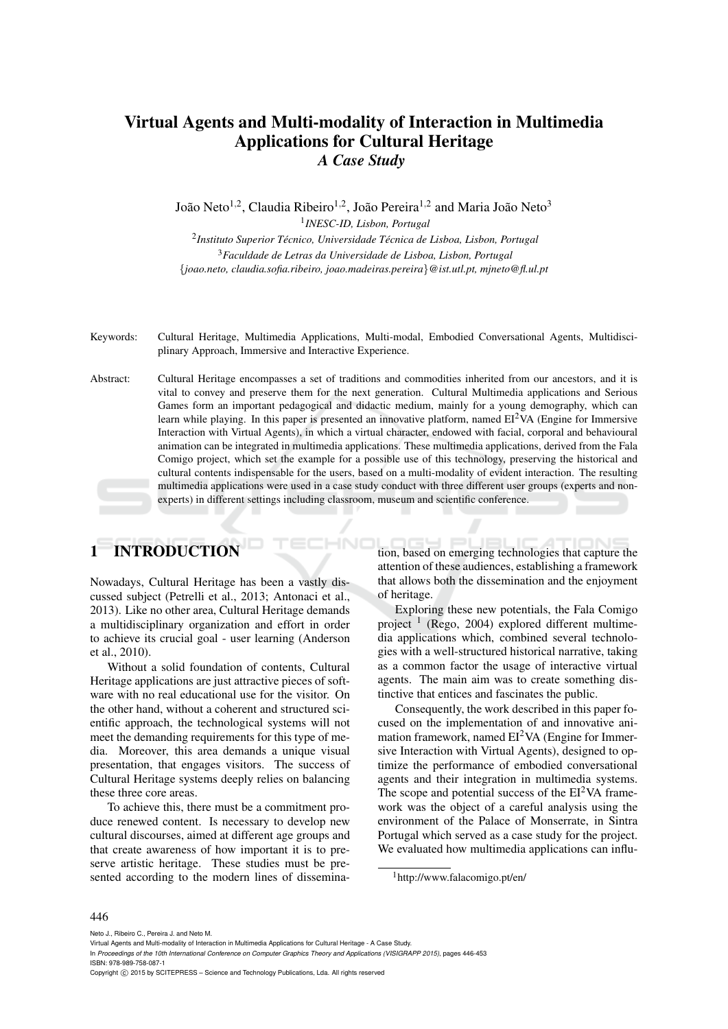# Virtual Agents and Multi-modality of Interaction in Multimedia Applications for Cultural Heritage *A Case Study*

João Neto $^{1,2}$ , Claudia Ribeiro $^{1,2}$ , João Pereira $^{1,2}$  and Maria João Neto $^3$ 1 *INESC-ID, Lisbon, Portugal*

2 *Instituto Superior Tecnico, Universidade T ´ ecnica de Lisboa, Lisbon, Portugal ´* <sup>3</sup>*Faculdade de Letras da Universidade de Lisboa, Lisbon, Portugal* {*joao.neto, claudia.sofia.ribeiro, joao.madeiras.pereira*}*@ist.utl.pt, mjneto@fl.ul.pt*

Keywords: Cultural Heritage, Multimedia Applications, Multi-modal, Embodied Conversational Agents, Multidisciplinary Approach, Immersive and Interactive Experience.

Abstract: Cultural Heritage encompasses a set of traditions and commodities inherited from our ancestors, and it is vital to convey and preserve them for the next generation. Cultural Multimedia applications and Serious Games form an important pedagogical and didactic medium, mainly for a young demography, which can learn while playing. In this paper is presented an innovative platform, named  $EI<sup>2</sup>VA$  (Engine for Immersive Interaction with Virtual Agents), in which a virtual character, endowed with facial, corporal and behavioural animation can be integrated in multimedia applications. These multimedia applications, derived from the Fala Comigo project, which set the example for a possible use of this technology, preserving the historical and cultural contents indispensable for the users, based on a multi-modality of evident interaction. The resulting multimedia applications were used in a case study conduct with three different user groups (experts and nonexperts) in different settings including classroom, museum and scientific conference.

# 1 INTRODUCTION

Nowadays, Cultural Heritage has been a vastly discussed subject (Petrelli et al., 2013; Antonaci et al., 2013). Like no other area, Cultural Heritage demands a multidisciplinary organization and effort in order to achieve its crucial goal - user learning (Anderson et al., 2010).

Without a solid foundation of contents, Cultural Heritage applications are just attractive pieces of software with no real educational use for the visitor. On the other hand, without a coherent and structured scientific approach, the technological systems will not meet the demanding requirements for this type of media. Moreover, this area demands a unique visual presentation, that engages visitors. The success of Cultural Heritage systems deeply relies on balancing these three core areas.

To achieve this, there must be a commitment produce renewed content. Is necessary to develop new cultural discourses, aimed at different age groups and that create awareness of how important it is to preserve artistic heritage. These studies must be presented according to the modern lines of dissemination, based on emerging technologies that capture the attention of these audiences, establishing a framework that allows both the dissemination and the enjoyment of heritage.

Exploring these new potentials, the Fala Comigo project<sup>1</sup> (Rego, 2004) explored different multimedia applications which, combined several technologies with a well-structured historical narrative, taking as a common factor the usage of interactive virtual agents. The main aim was to create something distinctive that entices and fascinates the public.

Consequently, the work described in this paper focused on the implementation of and innovative animation framework, named  $EI^2VA$  (Engine for Immersive Interaction with Virtual Agents), designed to optimize the performance of embodied conversational agents and their integration in multimedia systems. The scope and potential success of the  $EI<sup>2</sup>VA$  framework was the object of a careful analysis using the environment of the Palace of Monserrate, in Sintra Portugal which served as a case study for the project. We evaluated how multimedia applications can influ-

#### 446

Neto J., Ribeiro C., Pereira J. and Neto M.

Copyright C 2015 by SCITEPRESS – Science and Technology Publications, Lda. All rights reserved

<sup>1</sup>http://www.falacomigo.pt/en/

Virtual Agents and Multi-modality of Interaction in Multimedia Applications for Cultural Heritage - A Case Study.

In *Proceedings of the 10th International Conference on Computer Graphics Theory and Applications (VISIGRAPP 2015)*, pages 446-453 ISBN: 978-989-758-087-1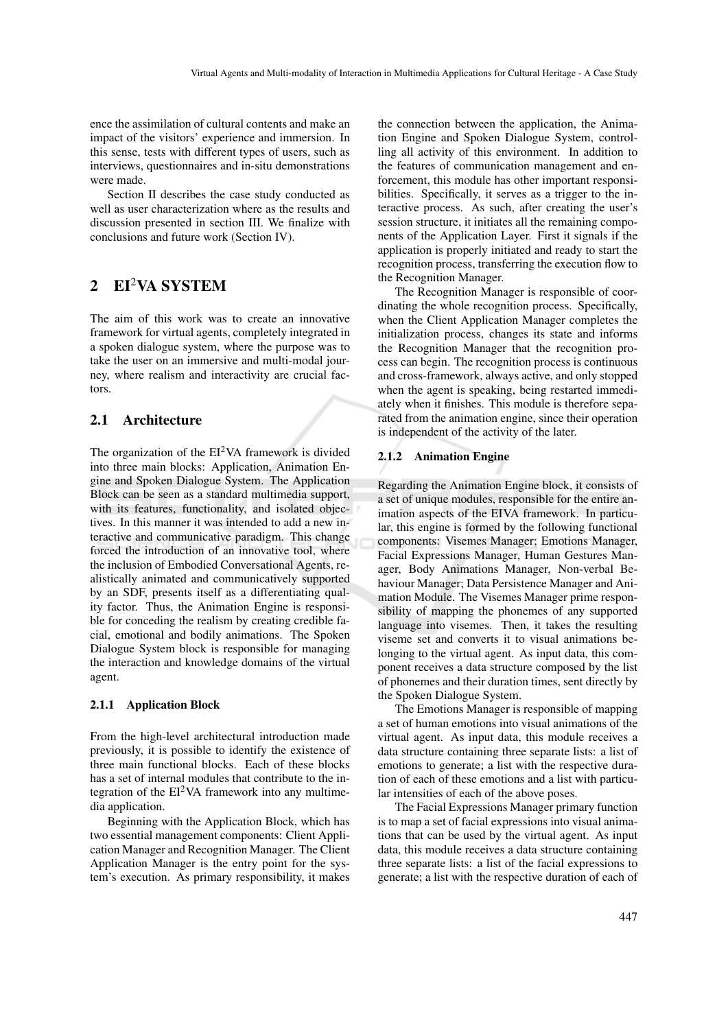ence the assimilation of cultural contents and make an impact of the visitors' experience and immersion. In this sense, tests with different types of users, such as interviews, questionnaires and in-situ demonstrations were made.

Section II describes the case study conducted as well as user characterization where as the results and discussion presented in section III. We finalize with conclusions and future work (Section IV).

# 2 EI2VA SYSTEM

The aim of this work was to create an innovative framework for virtual agents, completely integrated in a spoken dialogue system, where the purpose was to take the user on an immersive and multi-modal journey, where realism and interactivity are crucial factors.

### 2.1 Architecture

The organization of the  $EI^2VA$  framework is divided into three main blocks: Application, Animation Engine and Spoken Dialogue System. The Application Block can be seen as a standard multimedia support, with its features, functionality, and isolated objectives. In this manner it was intended to add a new interactive and communicative paradigm. This change forced the introduction of an innovative tool, where the inclusion of Embodied Conversational Agents, realistically animated and communicatively supported by an SDF, presents itself as a differentiating quality factor. Thus, the Animation Engine is responsible for conceding the realism by creating credible facial, emotional and bodily animations. The Spoken Dialogue System block is responsible for managing the interaction and knowledge domains of the virtual agent.

#### 2.1.1 Application Block

From the high-level architectural introduction made previously, it is possible to identify the existence of three main functional blocks. Each of these blocks has a set of internal modules that contribute to the integration of the  $EI^2VA$  framework into any multimedia application.

Beginning with the Application Block, which has two essential management components: Client Application Manager and Recognition Manager. The Client Application Manager is the entry point for the system's execution. As primary responsibility, it makes

the connection between the application, the Animation Engine and Spoken Dialogue System, controlling all activity of this environment. In addition to the features of communication management and enforcement, this module has other important responsibilities. Specifically, it serves as a trigger to the interactive process. As such, after creating the user's session structure, it initiates all the remaining components of the Application Layer. First it signals if the application is properly initiated and ready to start the recognition process, transferring the execution flow to the Recognition Manager.

The Recognition Manager is responsible of coordinating the whole recognition process. Specifically, when the Client Application Manager completes the initialization process, changes its state and informs the Recognition Manager that the recognition process can begin. The recognition process is continuous and cross-framework, always active, and only stopped when the agent is speaking, being restarted immediately when it finishes. This module is therefore separated from the animation engine, since their operation is independent of the activity of the later.

#### 2.1.2 Animation Engine

Regarding the Animation Engine block, it consists of a set of unique modules, responsible for the entire animation aspects of the EIVA framework. In particular, this engine is formed by the following functional components: Visemes Manager; Emotions Manager, Facial Expressions Manager, Human Gestures Manager, Body Animations Manager, Non-verbal Behaviour Manager; Data Persistence Manager and Animation Module. The Visemes Manager prime responsibility of mapping the phonemes of any supported language into visemes. Then, it takes the resulting viseme set and converts it to visual animations belonging to the virtual agent. As input data, this component receives a data structure composed by the list of phonemes and their duration times, sent directly by the Spoken Dialogue System.

The Emotions Manager is responsible of mapping a set of human emotions into visual animations of the virtual agent. As input data, this module receives a data structure containing three separate lists: a list of emotions to generate; a list with the respective duration of each of these emotions and a list with particular intensities of each of the above poses.

The Facial Expressions Manager primary function is to map a set of facial expressions into visual animations that can be used by the virtual agent. As input data, this module receives a data structure containing three separate lists: a list of the facial expressions to generate; a list with the respective duration of each of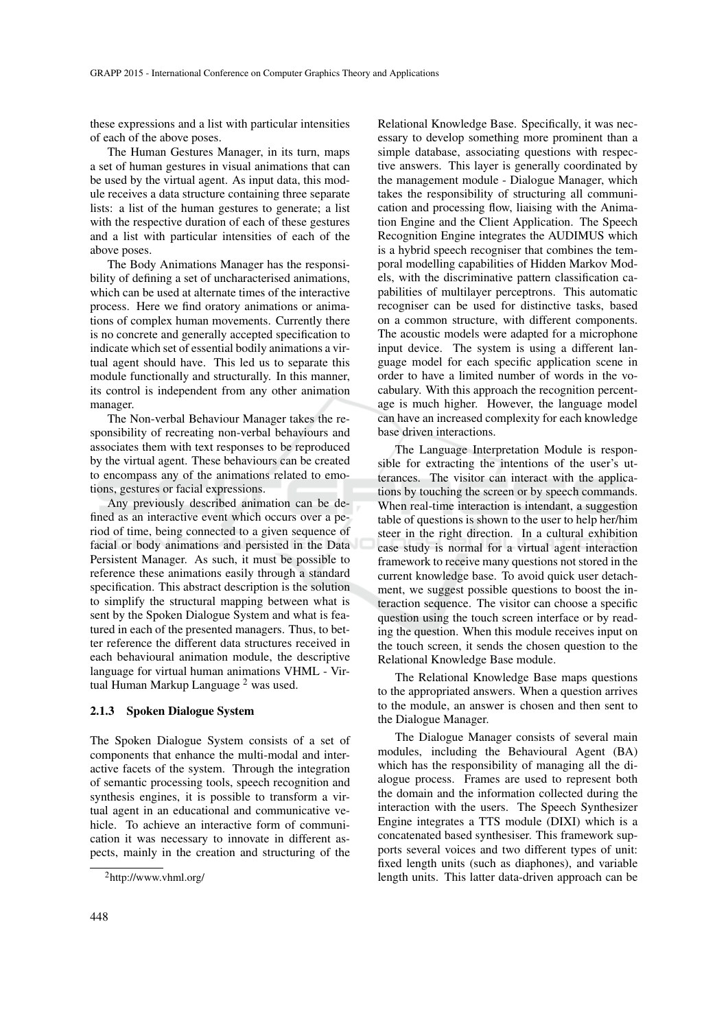these expressions and a list with particular intensities of each of the above poses.

The Human Gestures Manager, in its turn, maps a set of human gestures in visual animations that can be used by the virtual agent. As input data, this module receives a data structure containing three separate lists: a list of the human gestures to generate; a list with the respective duration of each of these gestures and a list with particular intensities of each of the above poses.

The Body Animations Manager has the responsibility of defining a set of uncharacterised animations, which can be used at alternate times of the interactive process. Here we find oratory animations or animations of complex human movements. Currently there is no concrete and generally accepted specification to indicate which set of essential bodily animations a virtual agent should have. This led us to separate this module functionally and structurally. In this manner, its control is independent from any other animation manager.

The Non-verbal Behaviour Manager takes the responsibility of recreating non-verbal behaviours and associates them with text responses to be reproduced by the virtual agent. These behaviours can be created to encompass any of the animations related to emotions, gestures or facial expressions.

Any previously described animation can be defined as an interactive event which occurs over a period of time, being connected to a given sequence of facial or body animations and persisted in the Data Persistent Manager. As such, it must be possible to reference these animations easily through a standard specification. This abstract description is the solution to simplify the structural mapping between what is sent by the Spoken Dialogue System and what is featured in each of the presented managers. Thus, to better reference the different data structures received in each behavioural animation module, the descriptive language for virtual human animations VHML - Virtual Human Markup Language <sup>2</sup> was used.

#### 2.1.3 Spoken Dialogue System

The Spoken Dialogue System consists of a set of components that enhance the multi-modal and interactive facets of the system. Through the integration of semantic processing tools, speech recognition and synthesis engines, it is possible to transform a virtual agent in an educational and communicative vehicle. To achieve an interactive form of communication it was necessary to innovate in different aspects, mainly in the creation and structuring of the

Relational Knowledge Base. Specifically, it was necessary to develop something more prominent than a simple database, associating questions with respective answers. This layer is generally coordinated by the management module - Dialogue Manager, which takes the responsibility of structuring all communication and processing flow, liaising with the Animation Engine and the Client Application. The Speech Recognition Engine integrates the AUDIMUS which is a hybrid speech recogniser that combines the temporal modelling capabilities of Hidden Markov Models, with the discriminative pattern classification capabilities of multilayer perceptrons. This automatic recogniser can be used for distinctive tasks, based on a common structure, with different components. The acoustic models were adapted for a microphone input device. The system is using a different language model for each specific application scene in order to have a limited number of words in the vocabulary. With this approach the recognition percentage is much higher. However, the language model can have an increased complexity for each knowledge base driven interactions.

The Language Interpretation Module is responsible for extracting the intentions of the user's utterances. The visitor can interact with the applications by touching the screen or by speech commands. When real-time interaction is intendant, a suggestion table of questions is shown to the user to help her/him steer in the right direction. In a cultural exhibition case study is normal for a virtual agent interaction framework to receive many questions not stored in the current knowledge base. To avoid quick user detachment, we suggest possible questions to boost the interaction sequence. The visitor can choose a specific question using the touch screen interface or by reading the question. When this module receives input on the touch screen, it sends the chosen question to the Relational Knowledge Base module.

The Relational Knowledge Base maps questions to the appropriated answers. When a question arrives to the module, an answer is chosen and then sent to the Dialogue Manager.

The Dialogue Manager consists of several main modules, including the Behavioural Agent (BA) which has the responsibility of managing all the dialogue process. Frames are used to represent both the domain and the information collected during the interaction with the users. The Speech Synthesizer Engine integrates a TTS module (DIXI) which is a concatenated based synthesiser. This framework supports several voices and two different types of unit: fixed length units (such as diaphones), and variable length units. This latter data-driven approach can be

<sup>2</sup>http://www.vhml.org/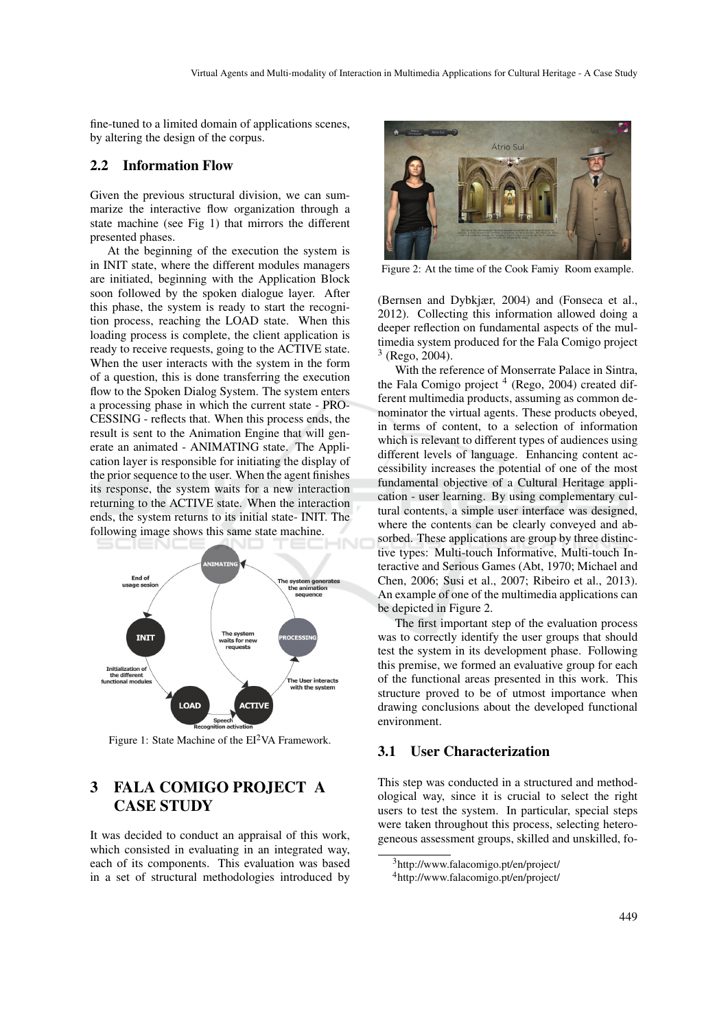fine-tuned to a limited domain of applications scenes, by altering the design of the corpus.

#### 2.2 Information Flow

Given the previous structural division, we can summarize the interactive flow organization through a state machine (see Fig 1) that mirrors the different presented phases.

At the beginning of the execution the system is in INIT state, where the different modules managers are initiated, beginning with the Application Block soon followed by the spoken dialogue layer. After this phase, the system is ready to start the recognition process, reaching the LOAD state. When this loading process is complete, the client application is ready to receive requests, going to the ACTIVE state. When the user interacts with the system in the form of a question, this is done transferring the execution flow to the Spoken Dialog System. The system enters a processing phase in which the current state - PRO-CESSING - reflects that. When this process ends, the result is sent to the Animation Engine that will generate an animated - ANIMATING state. The Application layer is responsible for initiating the display of the prior sequence to the user. When the agent finishes its response, the system waits for a new interaction returning to the ACTIVE state. When the interaction ends, the system returns to its initial state- INIT. The following image shows this same state machine.



Figure 1: State Machine of the  $EI<sup>2</sup>VA$  Framework.

# 3 FALA COMIGO PROJECT A CASE STUDY

It was decided to conduct an appraisal of this work, which consisted in evaluating in an integrated way, each of its components. This evaluation was based in a set of structural methodologies introduced by



Figure 2: At the time of the Cook Famiy Room example.

(Bernsen and Dybkjær, 2004) and (Fonseca et al., 2012). Collecting this information allowed doing a deeper reflection on fundamental aspects of the multimedia system produced for the Fala Comigo project  $3$  (Rego, 2004).

With the reference of Monserrate Palace in Sintra, the Fala Comigo project<sup>4</sup> (Rego, 2004) created different multimedia products, assuming as common denominator the virtual agents. These products obeyed, in terms of content, to a selection of information which is relevant to different types of audiences using different levels of language. Enhancing content accessibility increases the potential of one of the most fundamental objective of a Cultural Heritage application - user learning. By using complementary cultural contents, a simple user interface was designed, where the contents can be clearly conveyed and absorbed. These applications are group by three distinctive types: Multi-touch Informative, Multi-touch Interactive and Serious Games (Abt, 1970; Michael and Chen, 2006; Susi et al., 2007; Ribeiro et al., 2013). An example of one of the multimedia applications can be depicted in Figure 2.

The first important step of the evaluation process was to correctly identify the user groups that should test the system in its development phase. Following this premise, we formed an evaluative group for each of the functional areas presented in this work. This structure proved to be of utmost importance when drawing conclusions about the developed functional environment.

#### 3.1 User Characterization

This step was conducted in a structured and methodological way, since it is crucial to select the right users to test the system. In particular, special steps were taken throughout this process, selecting heterogeneous assessment groups, skilled and unskilled, fo-

<sup>3</sup>http://www.falacomigo.pt/en/project/

<sup>4</sup>http://www.falacomigo.pt/en/project/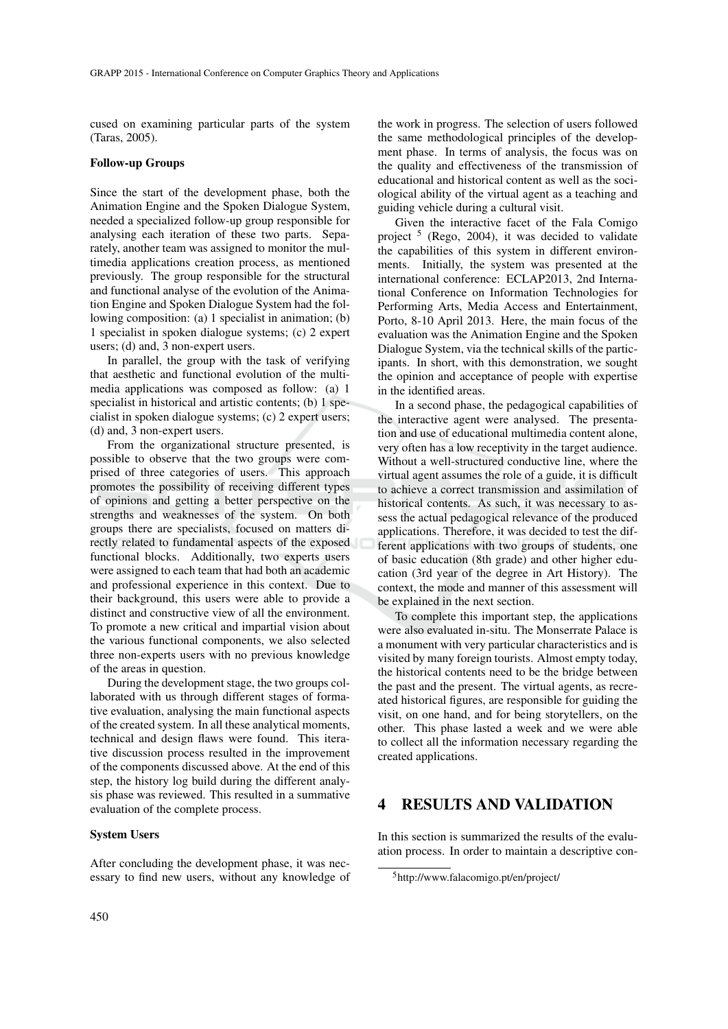cused on examining particular parts of the system (Taras, 2005).

#### Follow-up Groups

Since the start of the development phase, both the Animation Engine and the Spoken Dialogue System, needed a specialized follow-up group responsible for analysing each iteration of these two parts. Separately, another team was assigned to monitor the multimedia applications creation process, as mentioned previously. The group responsible for the structural and functional analyse of the evolution of the Animation Engine and Spoken Dialogue System had the following composition: (a) 1 specialist in animation; (b) 1 specialist in spoken dialogue systems; (c) 2 expert users; (d) and, 3 non-expert users.

In parallel, the group with the task of verifying that aesthetic and functional evolution of the multimedia applications was composed as follow: (a) 1 specialist in historical and artistic contents; (b) 1 specialist in spoken dialogue systems; (c) 2 expert users; (d) and, 3 non-expert users.

From the organizational structure presented, is possible to observe that the two groups were comprised of three categories of users. This approach promotes the possibility of receiving different types of opinions and getting a better perspective on the strengths and weaknesses of the system. On both groups there are specialists, focused on matters directly related to fundamental aspects of the exposed functional blocks. Additionally, two experts users were assigned to each team that had both an academic and professional experience in this context. Due to their background, this users were able to provide a distinct and constructive view of all the environment. To promote a new critical and impartial vision about the various functional components, we also selected three non-experts users with no previous knowledge of the areas in question.

During the development stage, the two groups collaborated with us through different stages of formative evaluation, analysing the main functional aspects of the created system. In all these analytical moments, technical and design flaws were found. This iterative discussion process resulted in the improvement of the components discussed above. At the end of this step, the history log build during the different analysis phase was reviewed. This resulted in a summative evaluation of the complete process.

### System Users

After concluding the development phase, it was necessary to find new users, without any knowledge of

the work in progress. The selection of users followed the same methodological principles of the development phase. In terms of analysis, the focus was on the quality and effectiveness of the transmission of educational and historical content as well as the sociological ability of the virtual agent as a teaching and guiding vehicle during a cultural visit.

Given the interactive facet of the Fala Comigo project <sup>5</sup> (Rego, 2004), it was decided to validate the capabilities of this system in different environments. Initially, the system was presented at the international conference: ECLAP2013, 2nd International Conference on Information Technologies for Performing Arts, Media Access and Entertainment, Porto, 8-10 April 2013. Here, the main focus of the evaluation was the Animation Engine and the Spoken Dialogue System, via the technical skills of the participants. In short, with this demonstration, we sought the opinion and acceptance of people with expertise in the identified areas.

In a second phase, the pedagogical capabilities of the interactive agent were analysed. The presentation and use of educational multimedia content alone, very often has a low receptivity in the target audience. Without a well-structured conductive line, where the virtual agent assumes the role of a guide, it is difficult to achieve a correct transmission and assimilation of historical contents. As such, it was necessary to assess the actual pedagogical relevance of the produced applications. Therefore, it was decided to test the different applications with two groups of students, one of basic education (8th grade) and other higher education (3rd year of the degree in Art History). The context, the mode and manner of this assessment will be explained in the next section.

To complete this important step, the applications were also evaluated in-situ. The Monserrate Palace is a monument with very particular characteristics and is visited by many foreign tourists. Almost empty today, the historical contents need to be the bridge between the past and the present. The virtual agents, as recreated historical figures, are responsible for guiding the visit, on one hand, and for being storytellers, on the other. This phase lasted a week and we were able to collect all the information necessary regarding the created applications.

# 4 RESULTS AND VALIDATION

In this section is summarized the results of the evaluation process. In order to maintain a descriptive con-

<sup>5</sup>http://www.falacomigo.pt/en/project/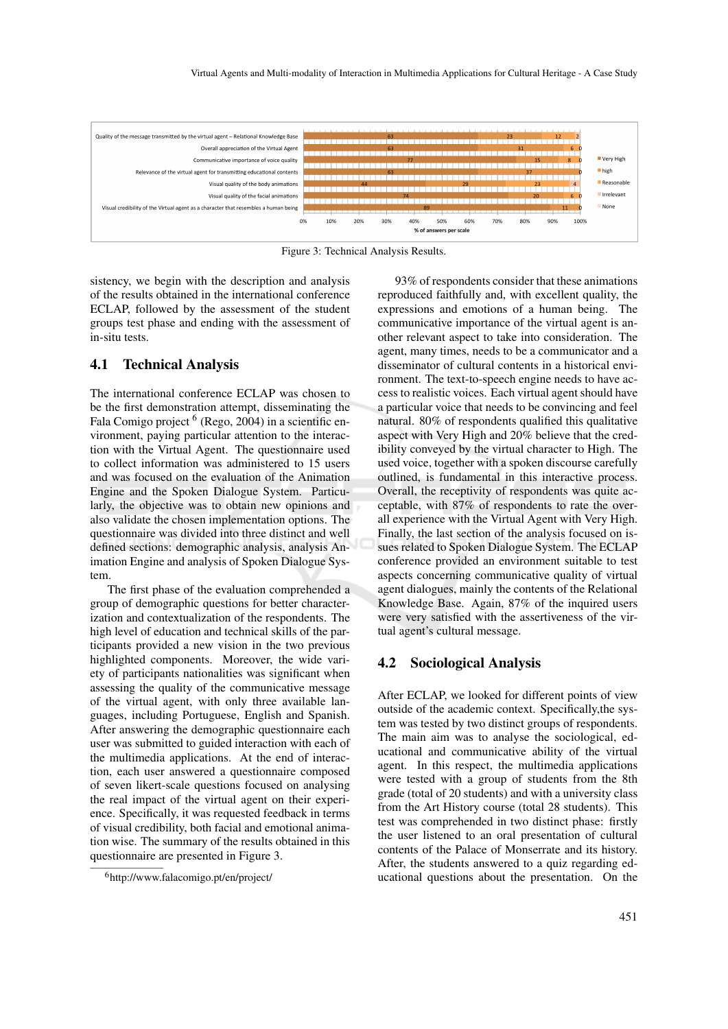

Figure 3: Technical Analysis Results.

sistency, we begin with the description and analysis of the results obtained in the international conference ECLAP, followed by the assessment of the student groups test phase and ending with the assessment of in-situ tests.

### 4.1 Technical Analysis

The international conference ECLAP was chosen to be the first demonstration attempt, disseminating the Fala Comigo project <sup>6</sup> (Rego, 2004) in a scientific environment, paying particular attention to the interaction with the Virtual Agent. The questionnaire used to collect information was administered to 15 users and was focused on the evaluation of the Animation Engine and the Spoken Dialogue System. Particularly, the objective was to obtain new opinions and also validate the chosen implementation options. The questionnaire was divided into three distinct and well defined sections: demographic analysis, analysis Animation Engine and analysis of Spoken Dialogue System.

The first phase of the evaluation comprehended a group of demographic questions for better characterization and contextualization of the respondents. The high level of education and technical skills of the participants provided a new vision in the two previous highlighted components. Moreover, the wide variety of participants nationalities was significant when assessing the quality of the communicative message of the virtual agent, with only three available languages, including Portuguese, English and Spanish. After answering the demographic questionnaire each user was submitted to guided interaction with each of the multimedia applications. At the end of interaction, each user answered a questionnaire composed of seven likert-scale questions focused on analysing the real impact of the virtual agent on their experience. Specifically, it was requested feedback in terms of visual credibility, both facial and emotional animation wise. The summary of the results obtained in this questionnaire are presented in Figure 3.

93% of respondents consider that these animations reproduced faithfully and, with excellent quality, the expressions and emotions of a human being. The communicative importance of the virtual agent is another relevant aspect to take into consideration. The agent, many times, needs to be a communicator and a disseminator of cultural contents in a historical environment. The text-to-speech engine needs to have access to realistic voices. Each virtual agent should have a particular voice that needs to be convincing and feel natural. 80% of respondents qualified this qualitative aspect with Very High and 20% believe that the credibility conveyed by the virtual character to High. The used voice, together with a spoken discourse carefully outlined, is fundamental in this interactive process. Overall, the receptivity of respondents was quite acceptable, with 87% of respondents to rate the overall experience with the Virtual Agent with Very High. Finally, the last section of the analysis focused on issues related to Spoken Dialogue System. The ECLAP conference provided an environment suitable to test aspects concerning communicative quality of virtual agent dialogues, mainly the contents of the Relational Knowledge Base. Again, 87% of the inquired users were very satisfied with the assertiveness of the virtual agent's cultural message.

### 4.2 Sociological Analysis

After ECLAP, we looked for different points of view outside of the academic context. Specifically,the system was tested by two distinct groups of respondents. The main aim was to analyse the sociological, educational and communicative ability of the virtual agent. In this respect, the multimedia applications were tested with a group of students from the 8th grade (total of 20 students) and with a university class from the Art History course (total 28 students). This test was comprehended in two distinct phase: firstly the user listened to an oral presentation of cultural contents of the Palace of Monserrate and its history. After, the students answered to a quiz regarding educational questions about the presentation. On the

<sup>6</sup>http://www.falacomigo.pt/en/project/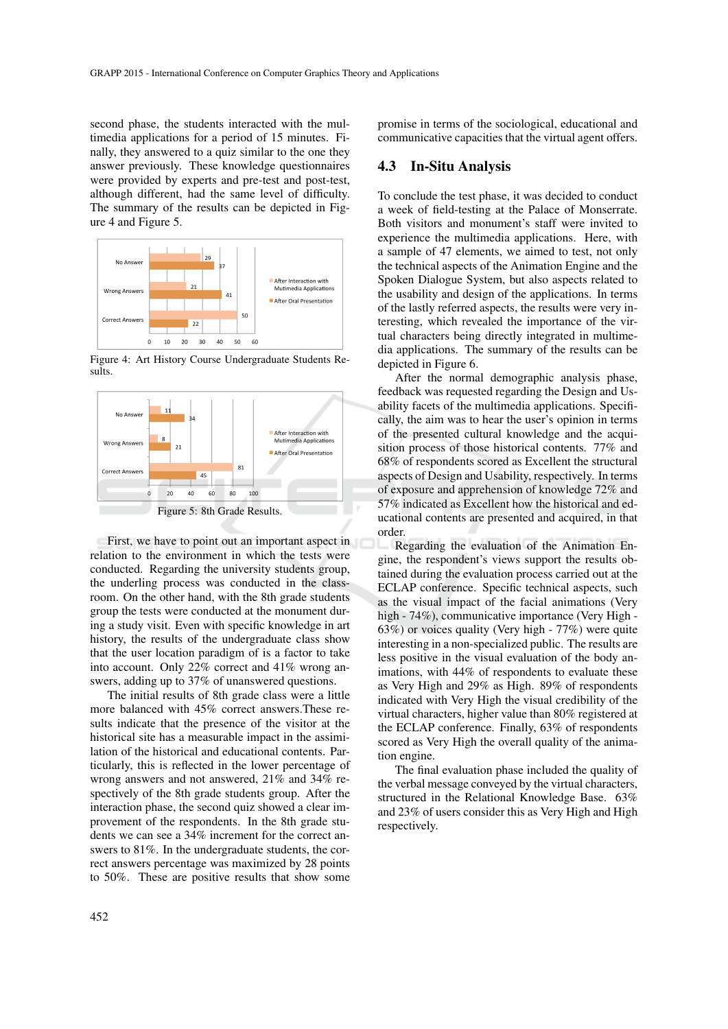second phase, the students interacted with the multimedia applications for a period of 15 minutes. Finally, they answered to a quiz similar to the one they answer previously. These knowledge questionnaires were provided by experts and pre-test and post-test, although different, had the same level of difficulty. The summary of the results can be depicted in Figure 4 and Figure 5.



Figure 4: Art History Course Undergraduate Students Results.



First, we have to point out an important aspect in relation to the environment in which the tests were conducted. Regarding the university students group, the underling process was conducted in the classroom. On the other hand, with the 8th grade students group the tests were conducted at the monument during a study visit. Even with specific knowledge in art history, the results of the undergraduate class show that the user location paradigm of is a factor to take into account. Only 22% correct and 41% wrong answers, adding up to 37% of unanswered questions.

The initial results of 8th grade class were a little more balanced with 45% correct answers.These results indicate that the presence of the visitor at the historical site has a measurable impact in the assimilation of the historical and educational contents. Particularly, this is reflected in the lower percentage of wrong answers and not answered, 21% and 34% respectively of the 8th grade students group. After the interaction phase, the second quiz showed a clear improvement of the respondents. In the 8th grade students we can see a 34% increment for the correct answers to 81%. In the undergraduate students, the correct answers percentage was maximized by 28 points to 50%. These are positive results that show some promise in terms of the sociological, educational and communicative capacities that the virtual agent offers.

### 4.3 In-Situ Analysis

To conclude the test phase, it was decided to conduct a week of field-testing at the Palace of Monserrate. Both visitors and monument's staff were invited to experience the multimedia applications. Here, with a sample of 47 elements, we aimed to test, not only the technical aspects of the Animation Engine and the Spoken Dialogue System, but also aspects related to the usability and design of the applications. In terms of the lastly referred aspects, the results were very interesting, which revealed the importance of the virtual characters being directly integrated in multimedia applications. The summary of the results can be depicted in Figure 6.

After the normal demographic analysis phase, feedback was requested regarding the Design and Usability facets of the multimedia applications. Specifically, the aim was to hear the user's opinion in terms of the presented cultural knowledge and the acquisition process of those historical contents. 77% and 68% of respondents scored as Excellent the structural aspects of Design and Usability, respectively. In terms of exposure and apprehension of knowledge 72% and 57% indicated as Excellent how the historical and educational contents are presented and acquired, in that order.

Regarding the evaluation of the Animation Engine, the respondent's views support the results obtained during the evaluation process carried out at the ECLAP conference. Specific technical aspects, such as the visual impact of the facial animations (Very high - 74%), communicative importance (Very High -63%) or voices quality (Very high - 77%) were quite interesting in a non-specialized public. The results are less positive in the visual evaluation of the body animations, with 44% of respondents to evaluate these as Very High and 29% as High. 89% of respondents indicated with Very High the visual credibility of the virtual characters, higher value than 80% registered at the ECLAP conference. Finally, 63% of respondents scored as Very High the overall quality of the animation engine.

The final evaluation phase included the quality of the verbal message conveyed by the virtual characters, structured in the Relational Knowledge Base. 63% and 23% of users consider this as Very High and High respectively.